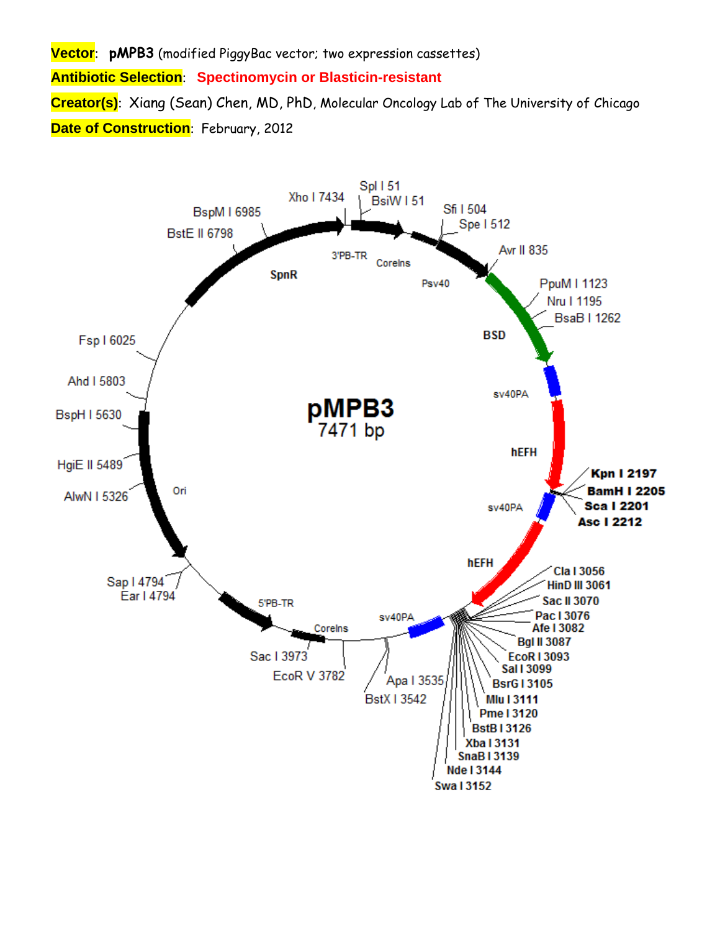**Vector**: **pMPB3** (modified PiggyBac vector; two expression cassettes) **Antibiotic Selection**: **Spectinomycin or Blasticin-resistant Creator(s)**: Xiang (Sean) Chen, MD, PhD, Molecular Oncology Lab of The University of Chicago **Date of Construction**: February, 2012

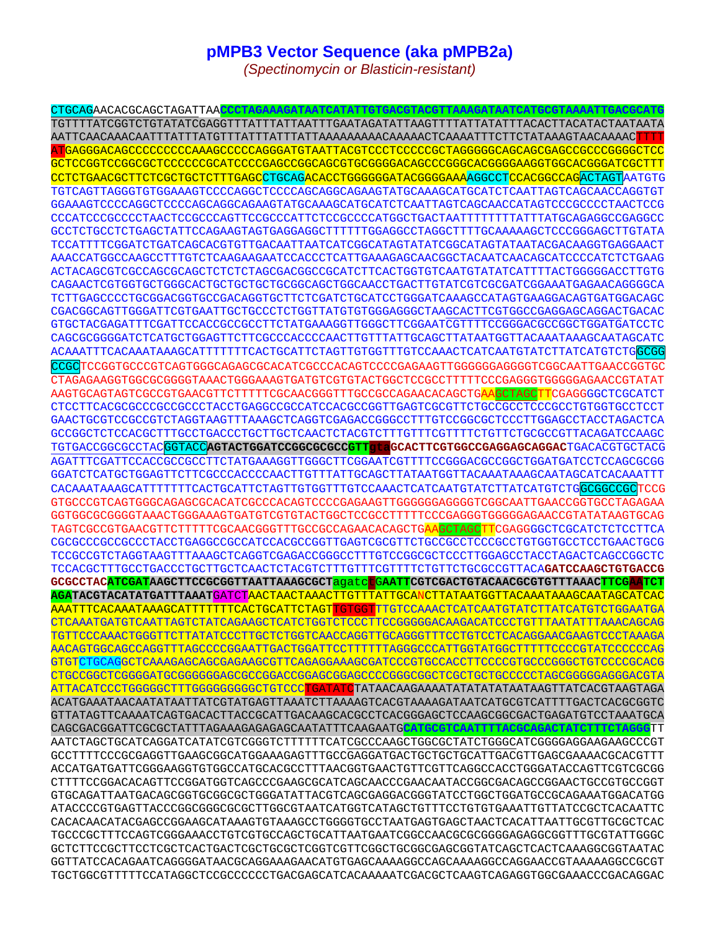## **pMPB3 Vector Sequence (aka pMPB2a)**

*(Spectinomycin or Blasticin-resistant)* 

CTGCAGAACACGCAGCTAGATTAA**CCCTAGAAAGATAATCATATTGTGACGTACGTTAAAGATAATCATGCGTAAAATTGACGCATG** TGTTTTATCGGTCTGTATATCGAGGTTTATTTATTAATTTGAATAGATATTAAGTTTTATTATATTTACACTTACATACTAATAATA AATTCAACAAACAATTTATTTATGTTTATTTATTTATTAAAAAAAAACAAAAACTCAAAATTTCTTCTATAAAGTAACAAAACTTTT ATGAGGGACAGCCCCCCCCCAAAGCCCCCAGGGATGTAATTACGTCCCTCCCCCGCTAGGGGGCAGCAGCGAGCCGCCCGGGGCTCC GCTCCGGTCCGGCGCTCCCCCCGCATCCCCGAGCCGGCAGCGTGCGGGGACAGCCCGGGCACGGGGAAGGTGGCACGGGATCGCTTT CCTCTGAACGCTTCTCGCTGCTCTTTGAGCCTGCAGACACCTGGGGGGATACGGGGAAAAGGCCTCCACGGCCAGACTAGTAATGTG TGTCAGTTAGGGTGTGGAAAGTCCCCAGGCTCCCCAGCAGGCAGAAGTATGCAAAGCATGCATCTCAATTAGTCAGCAACCAGGTGT GGAAAGTCCCCAGGCTCCCCAGCAGGCAGAAGTATGCAAAGCATGCATCTCAATTAGTCAGCAACCATAGTCCCGCCCCTAACTCCG CCCATCCCGCCCCTAACTCCGCCCAGTTCCGCCCATTCTCCGCCCCATGGCTGACTAATTTTTTTTATTTATGCAGAGGCCGAGGCC GCCTCTGCCTCTGAGCTATTCCAGAAGTAGTGAGGAGGCTTTTTTGGAGGCCTAGGCTTTTGCAAAAAGCTCCCGGGAGCTTGTATA TCCATTTTCGGATCTGATCAGCACGTGTTGACAATTAATCATCGGCATAGTATATCGGCATAGTATAATACGACAAGGTGAGGAACT AAACCATGGCCAAGCCTTTGTCTCAAGAAGAATCCACCCTCATTGAAAGAGCAACGGCTACAATCAACAGCATCCCCATCTCTGAAG ACTACAGCGTCGCCAGCGCAGCTCTCTCTAGCGACGGCCGCATCTTCACTGGTGTCAATGTATATCATTTTACTGGGGGACCTTGTG CAGAACTCGTGGTGCTGGGCACTGCTGCTGCTGCGGCAGCTGGCAACCTGACTTGTATCGTCGCGATCGGAAATGAGAACAGGGGCA TCTTGAGCCCCTGCGGACGGTGCCGACAGGTGCTTCTCGATCTGCATCCTGGGATCAAAGCCATAGTGAAGGACAGTGATGGACAGC CGACGGCAGTTGGGATTCGTGAATTGCTGCCCTCTGGTTATGTGTGGGAGGGCTAAGCACTTCGTGGCCGAGGAGCAGGACTGACAC GTGCTACGAGATTTCGATTCCACCGCCGCCTTCTATGAAAGGTTGGGCTTCGGAATCGTTTTCCGGGACGCCGGCTGGATGATCCTC CAGCGCGGGGATCTCATGCTGGAGTTCTTCGCCCACCCCAACTTGTTTATTGCAGCTTATAATGGTTACAAATAAAGCAATAGCATC ACAAATTTCACAAATAAAGCATTTTTTTCACTGCATTCTAGTTGTGGTTTGTCCAAACTCATCAATGTATCTTATCATGTCTGGCGG CCGCTCCGGTGCCCGTCAGTGGGCAGAGCGCACATCGCCCACAGTCCCCGAGAAGTTGGGGGGAGGGTCGGCAATTGAACCGGTGC CTAGAGAAGGTGGCGCGGGGTAAACTGGGAAAGTGATGTCGTGTACTGGCTCCGCCTTTTTCCCGAGGGTGGGGGAGAACCGTATAT AAGTGCAGTAGTCGCCGTGAACGTTCTTTTTCGCAACGGGTTTGCCGCCAGAACACAGCTGAAGCTAGCTTCGAGGGGCTCGCATCT CTCCTTCACGCGCCCGCCGCCCTACCTGAGGCCGCCATCCACGCCGGTTGAGTCGCGTTCTGCCGCCTCCCGCCTGTGGTGCCTCCT GAACTGCGTCCGCCGTCTAGGTAAGTTTAAAGCTCAGGTCGAGACCGGGCCTTTGTCCGGCGCTCCCTTGGAGCCTACCTAGACTCA GCCGGCTCTCCACGCTTTGCCTGACCCTGCTTGCTCAACTCTACGTCTTTGTTTCGTTTTCTGTTCTGCGCCGTTACAGATCCAAGC TGTGACCGGCGCCTACGGTACC**AGTACTGGATCCGGCGCGCCGTTgtaGCACTTCGTGGCCGAGGAGCAGGAC**TGACACGTGCTACG AGATTTCGATTCCACCGCCGCCTTCTATGAAAGGTTGGGCTTCGGAATCGTTTTCCGGGACGCCGGCTGGATGATCCTCCAGCGCGG GGATCTCATGCTGGAGTTCTTCGCCCACCCCAACTTGTTTATTGCAGCTTATAATGGTTACAAATAAAGCAATAGCATCACAAATTT CACAAATAAAGCATTTTTTTCACTGCATTCTAGTTGTGGTTTGTCCAAACTCATCAATGTATCTTATCATGTCTGGCGGCCGCTCCG GTGCCCGTCAGTGGGCAGAGCGCACATCGCCCACAGTCCCCGAGAAGTTGGGGGGAGGGGTCGGCAATTGAACCGGTGCCTAGAGAA GGTGGCGCGGGGTAAACTGGGAAAGTGATGTCGTGTACTGGCTCCGCCTTTTTCCCGAGGGTGGGGGAGAACCGTATATAAGTGCAG TAGTCGCCGTGAACGTTCTTTTTCGCAACGGGTTTGCCGCCAGAACACAGCTGAAGCTAGCTTCGAGGGGCTCGCATCTCTCCTTCA CGCGCCCGCCGCCCTACCTGAGGCCGCCATCCACGCCGGTTGAGTCGCGTTCTGCCGCCTCCCGCCTGTGGTGCCTCCTGAACTGCG TCCGCCGTCTAGGTAAGTTTAAAGCTCAGGTCGAGACCGGGCCTTTGTCCGGCGCTCCCTTGGAGCCTACCTAGACTCAGCCGGCTC TCCACGCTTTGCCTGACCCTGCTTGCTCAACTCTACGTCTTTGTTTCGTTTTCTGTTCTGCGCCGTTACA**GATCCAAGCTGTGACCG GCGCCTACATCGATAAGCTTCCGCGGTTAATTAAAGCGCT**agatctG**AATTCGTCGACTGTACAACGCGTGTTTAAACTTCGAATCT AGATACGTACATATGATTTAAAT**GATCTAACTAACTAAACTTGTTTATTGCANCTTATAATGGTTACAAATAAAGCAATAGCATCAC AAATTTCACAAATAAAGCATTTTTTTCACTGCATTCTAGTTGTGGTTTGTCCAAACTCATCAATGTATCTTATCATGTCTGGAATGA CTCAAATGATGTCAATTAGTCTATCAGAAGCTCATCTGGTCTCCCTTCCGGGGGACAAGACATCCCTGTTTAATATTTAAACAGCAG TGTTCCCAAACTGGGTTCTTATATCCCTTGCTCTGGTCAACCAGGTTGCAGGGTTTCCTGTCCTCACAGGAACGAAGTCCCTAAAGA AACAGTGGCAGCCAGGTTTAGCCCCGGAATTGACTGGATTCCTTTTTTAGGGCCCATTGGTATGGCTTTTTCCCCGTATCCCCCCAG GTGTCTGCAGGCTCAAAGAGCAGCGAGAAGCGTTCAGAGGAAAGCGATCCCGTGCCACCTTCCCCGTGCCCGGGCTGTCCCCGCACG CTGCCGGCTCGGGGATGCGGGGGGAGCGCCGGACCGGAGCGGAGCCCCGGGCGGCTCGCTGCTGCCCCCTAGCGGGGGAGGGACGTA ATTACATCCCTGGGGGCTTTGGGGGGGGGCTGTCCCTGATATCTATAACAAGAAAATATATATATAATAAGTTATCACGTAAGTAGA ACATGAAATAACAATATAATTATCGTATGAGTTAAATCTTAAAAGTCACGTAAAAGATAATCATGCGTCATTTTGACTCACGCGGTC GTTATAGTTCAAAATCAGTGACACTTACCGCATTGACAAGCACGCCTCACGGGAGCTCCAAGCGGCGACTGAGATGTCCTAAATGCA CAGCGACGGATTCGCGCTATTTAGAAAGAGAGAGCAATATTTCAAGAATG**CATGCGTCAATTTTACGCAGACTATCTTTCTAGGG**TT AATCTAGCTGCATCAGGATCATATCGTCGGGTCTTTTTTCATCGCCCAAGCTGGCGCTATCTGGGCATCGGGGAGGAAGAAGCCCGT GCCTTTTCCCGCGAGGTTGAAGCGGCATGGAAAGAGTTTGCCGAGGATGACTGCTGCTGCATTGACGTTGAGCGAAAACGCACGTTT ACCATGATGATTCGGGAAGGTGTGGCCATGCACGCCTTTAACGGTGAACTGTTCGTTCAGGCCACCTGGGATACCAGTTCGTCGCGG CTTTTCCGGACACAGTTCCGGATGGTCAGCCCGAAGCGCATCAGCAACCCGAACAATACCGGCGACAGCCGGAACTGCCGTGCCGGT GTGCAGATTAATGACAGCGGTGCGGCGCTGGGATATTACGTCAGCGAGGACGGGTATCCTGGCTGGATGCCGCAGAAATGGACATGG ATACCCCGTGAGTTACCCGGCGGGCGCGCTTGGCGTAATCATGGTCATAGCTGTTTCCTGTGTGAAATTGTTATCCGCTCACAATTC CACACAACATACGAGCCGGAAGCATAAAGTGTAAAGCCTGGGGTGCCTAATGAGTGAGCTAACTCACATTAATTGCGTTGCGCTCAC TGCCCGCTTTCCAGTCGGGAAACCTGTCGTGCCAGCTGCATTAATGAATCGGCCAACGCGCGGGGAGAGGCGGTTTGCGTATTGGGC GCTCTTCCGCTTCCTCGCTCACTGACTCGCTGCGCTCGGTCGTTCGGCTGCGGCGAGCGGTATCAGCTCACTCAAAGGCGGTAATAC GGTTATCCACAGAATCAGGGGATAACGCAGGAAAGAACATGTGAGCAAAAGGCCAGCAAAAGGCCAGGAACCGTAAAAAGGCCGCGT TGCTGGCGTTTTTCCATAGGCTCCGCCCCCCTGACGAGCATCACAAAAATCGACGCTCAAGTCAGAGGTGGCGAAACCCGACAGGAC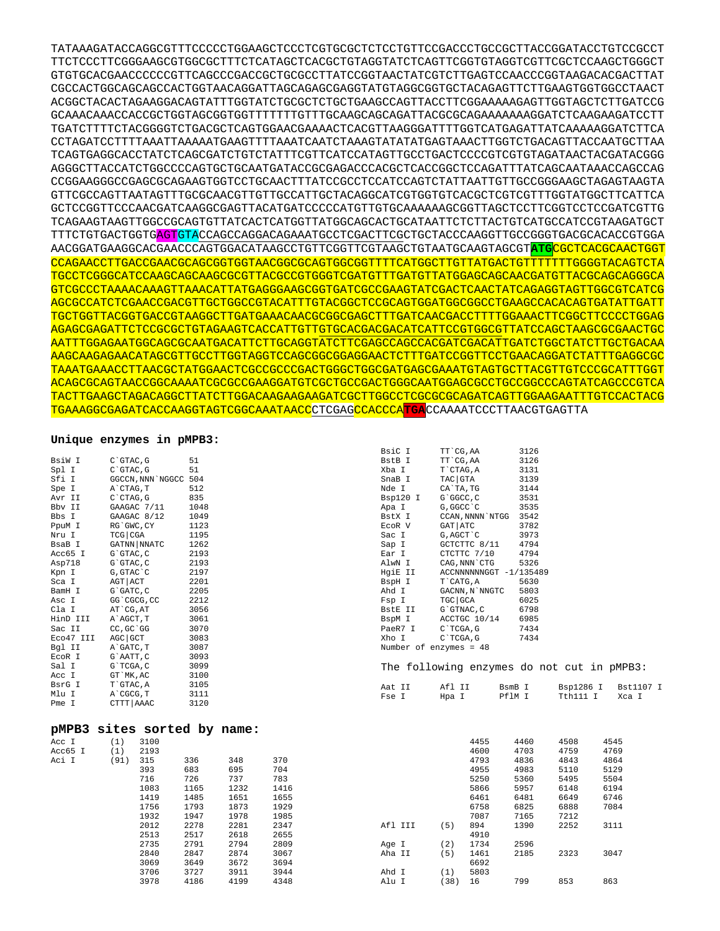TATAAAGATACCAGGCGTTTCCCCCTGGAAGCTCCCTCGTGCGCTCTCCTGTTCCGACCCTGCCGCTTACCGGATACCTGTCCGCCT TTCTCCCTTCGGGAAGCGTGGCGCTTTCTCATAGCTCACGCTGTAGGTATCTCAGTTCGGTGTAGGTCGTTCGCTCCAAGCTGGGCT GTGTGCACGAACCCCCCGTTCAGCCCGACCGCTGCGCCTTATCCGGTAACTATCGTCTTGAGTCCAACCCGGTAAGACACGACTTAT CGCCACTGGCAGCAGCCACTGGTAACAGGATTAGCAGAGCGAGGTATGTAGGCGGTGCTACAGAGTTCTTGAAGTGGTGGCCTAACT ACGGCTACACTAGAAGGACAGTATTTGGTATCTGCGCTCTGCTGAAGCCAGTTACCTTCGGAAAAAGAGTTGGTAGCTCTTGATCCG GCAAACAAACCACCGCTGGTAGCGGTGGTTTTTTTGTTTGCAAGCAGCAGATTACGCGCAGAAAAAAAGGATCTCAAGAAGATCCTT TGATCTTTTCTACGGGGTCTGACGCTCAGTGGAACGAAAACTCACGTTAAGGGATTTTGGTCATGAGATTATCAAAAAGGATCTTCA CCTAGATCCTTTTAAATTAAAAATGAAGTTTTAAATCAATCTAAAGTATATATGAGTAAACTTGGTCTGACAGTTACCAATGCTTAA TCAGTGAGGCACCTATCTCAGCGATCTGTCTATTTCGTTCATCCATAGTTGCCTGACTCCCCGTCGTGTAGATAACTACGATACGGG AGGGCTTACCATCTGGCCCCAGTGCTGCAATGATACCGCGAGACCCACGCTCACCGGCTCCAGATTTATCAGCAATAAACCAGCCAG CCGGAAGGGCCGAGCGCAGAAGTGGTCCTGCAACTTTATCCGCCTCCATCCAGTCTATTAATTGTTGCCGGGAAGCTAGAGTAAGTA GTTCGCCAGTTAATAGTTTGCGCAACGTTGTTGCCATTGCTACAGGCATCGTGGTGTCACGCTCGTCGTTTGGTATGGCTTCATTCA GCTCCGGTTCCCAACGATCAAGGCGAGTTACATGATCCCCCATGTTGTGCAAAAAAGCGGTTAGCTCCTTCGGTCCTCCGATCGTTG TCAGAAGTAAGTTGGCCGCAGTGTTATCACTCATGGTTATGGCAGCACTGCATAATTCTCTTACTGTCATGCCATCCGTAAGATGCT TTTCTGTGACTGGTGAGTGTACCAGCCAGGACAGAAATGCCTCGACTTCGCTGCTACCCAAGGTTGCCGGGTGACGCACACCGTGGA AACGGATGAAGGCACGAACCCAGTGGACATAAGCCTGTTCGGTTCGTAAGCTGTAATGCAAGTAGCGT**ATG**CGCTCACGCAACTGGT CCAGAACCTTGACCGAACGCAGCGGTGGTAACGGCGCAGTGGCGGTTTTCATGGCTTGTTATGACTGTTTTTTTGGGGTACAGTCTA TGCCTCGGGCATCCAAGCAGCAAGCGCGTTACGCCGTGGGTCGATGTTTGATGTTATGGAGCAGCAACGATGTTACGCAGCAGGGCA GTCGCCCTAAAACAAAGTTAAACATTATGAGGGAAGCGGTGATCGCCGAAGTATCGACTCAACTATCAGAGGTAGTTGGCGTCATCG AGCGCCATCTCGAACCGACGTTGCTGGCCGTACATTTGTACGGCTCCGCAGTGGATGGCGGCCTGAAGCCACACAGTGATATTGATT TGCTGGTTACGGTGACCGTAAGGCTTGATGAAACAACGCGGCGAGCTTTGATCAACGACCTTTTGGAAACTTCGGCTTCCCCTGGAG AGAGCGAGATTCTCCGCGCTGTAGAAGTCACCATTGTTGTGCACGACGACATCATTCCGTGGCGTTATCCAGCTAAGCGCGAACTGC AATTTGGAGAATGGCAGCGCAATGACATTCTTGCAGGTATCTTCGAGCCAGCCACGATCGACATTGATCTGGCTATCTTGCTGACAA AAGCAAGAGAACATAGCGTTGCCTTGGTAGGTCCAGCGGCGGAGGAACTCTTTGATCCGGTTCCTGAACAGGATCTATTTGAGGCGC TAAATGAAACCTTAACGCTATGGAACTCGCCGCCCGACTGGGCTGGCGATGAGCGAAATGTAGTGCTTACGTTGTCCCGCATTTGGT ACAGCGCAGTAACCGGCAAAATCGCGCCGAAGGATGTCGCTGCCGACTGGGCAATGGAGCGCCTGCCGGCCCAGTATCAGCCCGTCA TACTTGAAGCTAGACAGGCTTATCTTGGACAAGAAGAAGATCGCTTGGCCTCGCGCGCAGATCAGTTGGAAGAATTTGTCCACTACG TGAAAGGCGAGATCACCAAGGTAGTCGGCAAATAACCCTCGAGCCACCCA**TGA**CCAAAATCCCTTAACGTGAGTTA

## **Unique enzymes in pMPB3:**

|           |                             |      |      |      | BsiC I  |                        | TT CG, AA   |                  | 3126                   |                                            |           |
|-----------|-----------------------------|------|------|------|---------|------------------------|-------------|------------------|------------------------|--------------------------------------------|-----------|
| BsiW I    | $C$ $GTAC$ , $G$            | 51   |      |      | BstB I  |                        | TT `CG, AA  |                  | 3126                   |                                            |           |
| Spl I     | $C$ $GTAC$ , $G$            | 51   |      |      | Xba I   |                        | T`CTAG, A   |                  | 3131                   |                                            |           |
| Sfi I     | GGCCN, NNN NGGCC 504        |      |      |      | SnaB I  |                        | TAC GTA     |                  | 3139                   |                                            |           |
| Spe I     | A CTAG, T                   | 512  |      |      | Nde I   |                        | CA`TA, TG   |                  | 3144                   |                                            |           |
| Avr II    | C`CTAG, G                   | 835  |      |      |         | Bsp120 I               | G`GGCC, C   |                  | 3531                   |                                            |           |
| Bbv II    | GAAGAC 7/11                 | 1048 |      |      | Apa I   |                        | G, GGCC `C  |                  | 3535                   |                                            |           |
| Bbs I     | GAAGAC 8/12                 | 1049 |      |      | BstX I  |                        |             | CCAN, NNNN `NTGG | 3542                   |                                            |           |
| PpuM I    | RG`GWC, CY                  | 1123 |      |      | ECOR V  |                        | GAT ATC     |                  | 3782                   |                                            |           |
| Nru I     | TCG CGA                     | 1195 |      |      | Sac I   |                        | G, AGCT `C  |                  | 3973                   |                                            |           |
| BsaB I    | GATNN NNATC                 | 1262 |      |      | Sap I   |                        |             | GCTCTTC 8/11     | 4794                   |                                            |           |
| Acc65 I   | G`GTAC, C                   | 2193 |      |      | Ear I   |                        |             | CTCTTC 7/10      | 4794                   |                                            |           |
| Asp718    | G`GTAC, C                   | 2193 |      |      | AlwN I  |                        |             | CAG, NNN `CTG    | 5326                   |                                            |           |
| Kpn I     | G, GTAC `C                  | 2197 |      |      |         | HgiE II                |             |                  | ACCNNNNNNGGT -1/135489 |                                            |           |
| Sca I     | AGT ACT                     | 2201 |      |      | BspH I  |                        | T CATG, A   |                  | 5630                   |                                            |           |
| BamH I    | G`GATC, C                   | 2205 |      |      | Ahd I   |                        |             | GACNN, N`NNGTC   | 5803                   |                                            |           |
| Asc I     | GG`CGCG, CC                 | 2212 |      |      | Fsp I   |                        | TGC GCA     |                  | 6025                   |                                            |           |
| Cla I     | AT CG, AT                   | 3056 |      |      |         | BstE II                | G`GTNAC, C  |                  | 6798                   |                                            |           |
| HinD III  | A`AGCT, T                   | 3061 |      |      | BspM I  |                        |             | ACCTGC 10/14     | 6985                   |                                            |           |
| Sac II    | CC, GC GG                   | 3070 |      |      |         | PaeR7 I                | $C$ TCGA, G |                  | 7434                   |                                            |           |
| Eco47 III | AGC GCT                     | 3083 |      |      | Xho I   |                        | C`TCGA, G   |                  | 7434                   |                                            |           |
| Bgl II    | A GATC, T                   | 3087 |      |      |         | Number of enzymes = 48 |             |                  |                        |                                            |           |
| ECOR I    | G`AATT, C                   | 3093 |      |      |         |                        |             |                  |                        |                                            |           |
| Sal I     | G`TCGA, C                   | 3099 |      |      |         |                        |             |                  |                        | The following enzymes do not cut in pMPB3: |           |
| Acc I     | GT `MK, AC                  | 3100 |      |      |         |                        |             |                  |                        |                                            |           |
| BsrG I    | T`GTAC, A                   | 3105 |      |      | Aat II  |                        | Afl II      |                  | BsmB I                 | Bsp1286 I                                  | Bst1107 I |
| Mlu I     | A CGCG, T                   | 3111 |      |      | Fse I   |                        | Hpa I       |                  | PflM I                 | Tth111 I                                   | Xca I     |
| Pme I     | CTTT AAAC                   | 3120 |      |      |         |                        |             |                  |                        |                                            |           |
|           |                             |      |      |      |         |                        |             |                  |                        |                                            |           |
|           | pMPB3 sites sorted by name: |      |      |      |         |                        |             |                  |                        |                                            |           |
| Acc I     | 3100<br>(1)                 |      |      |      |         |                        |             | 4455             | 4460                   | 4508                                       | 4545      |
| Acc65 I   | 2193<br>(1)                 |      |      |      |         |                        |             | 4600             | 4703                   | 4759                                       | 4769      |
| Aci I     | (91)<br>315                 | 336  | 348  | 370  |         |                        |             | 4793             | 4836                   | 4843                                       | 4864      |
|           | 393                         | 683  | 695  | 704  |         |                        |             | 4955             | 4983                   | 5110                                       | 5129      |
|           | 716                         | 726  | 737  | 783  |         |                        |             | 5250             | 5360                   | 5495                                       | 5504      |
|           | 1083                        | 1165 | 1232 | 1416 |         |                        |             | 5866             | 5957                   | 6148                                       | 6194      |
|           | 1419                        | 1485 | 1651 | 1655 |         |                        |             | 6461             | 6481                   | 6649                                       | 6746      |
|           | 1756                        | 1793 | 1873 | 1929 |         |                        |             | 6758             | 6825                   | 6888                                       | 7084      |
|           | 1932                        | 1947 | 1978 | 1985 |         |                        |             | 7087             | 7165                   | 7212                                       |           |
|           | 2012                        | 2278 | 2281 | 2347 | Afl III |                        | (5)         | 894              | 1390                   | 2252                                       | 3111      |
|           | 2513                        | 2517 | 2618 | 2655 |         |                        |             | 4910             |                        |                                            |           |
|           | 2735                        | 2791 | 2794 | 2809 | Age I   |                        | (2)         | 1734             | 2596                   |                                            |           |
|           | 2840                        | 2847 | 2874 | 3067 | Aha II  |                        | (5)         | 1461             | 2185                   | 2323                                       | 3047      |
|           | 3069                        | 3649 | 3672 | 3694 |         |                        |             | 6692             |                        |                                            |           |
|           | 3706                        | 3727 | 3911 | 3944 | Ahd I   |                        | (1)         | 5803             |                        |                                            |           |
|           | 3978                        | 4186 | 4199 | 4348 | Alu I   |                        | (38)        | 16               | 799                    | 853                                        | 863       |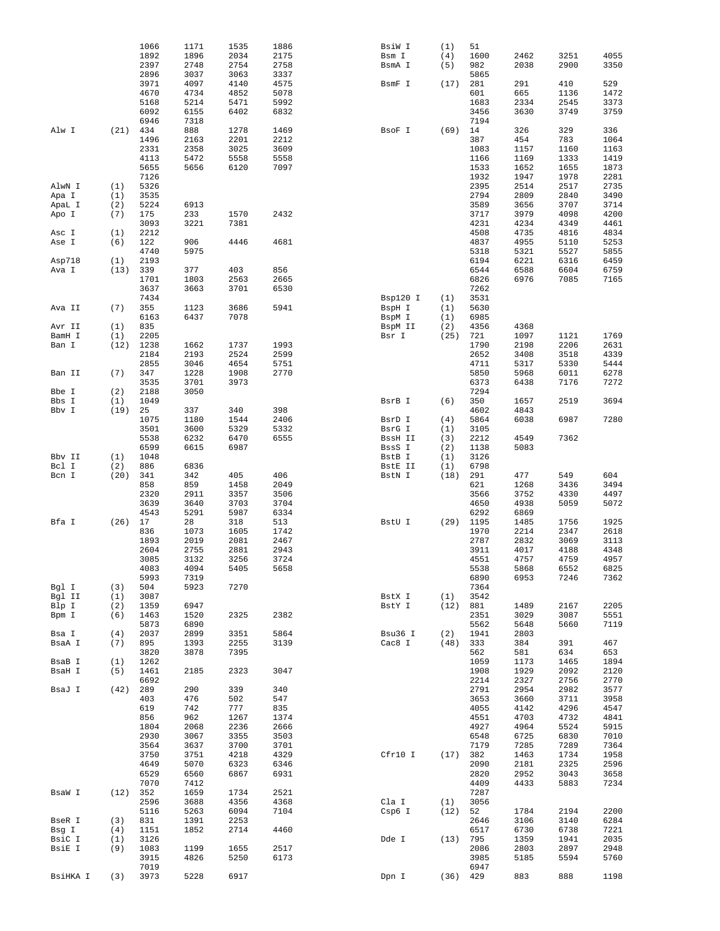|                 |             | 1066         | 1171         | 1535         | 1886         | BsiW I   | (1)        | $51\,$       |              |              |              |
|-----------------|-------------|--------------|--------------|--------------|--------------|----------|------------|--------------|--------------|--------------|--------------|
|                 |             | 1892         | 1896         | 2034         | 2175         | Bsm I    | (4)        | 1600         | 2462         | 3251         | 4055         |
|                 |             | 2397         | 2748         | 2754         | 2758         | BsmA I   | (5)        | 982          | 2038         | 2900         | 3350         |
|                 |             | 2896         | 3037         | 3063         | 3337         |          |            | 5865         |              |              |              |
|                 |             | 3971         | 4097         | 4140         | 4575         | BsmF I   | (17)       | 281          | 291          | 410          | 529          |
|                 |             | 4670         | 4734         | 4852         | 5078         |          |            | 601          | 665          | 1136         | 1472         |
|                 |             | 5168         | 5214         | 5471         | 5992         |          |            | 1683         | 2334         | 2545         | 3373         |
|                 |             | 6092         | 6155         | 6402         | 6832         |          |            | 3456         | 3630         | 3749         | 3759         |
|                 |             | 6946         | 7318         |              |              |          |            | 7194         |              |              |              |
| Alw I           | (21)        | 434          | 888          | 1278         | 1469         | BsoF I   | (69)       | 14           | 326          | 329          | 336          |
|                 |             | 1496         | 2163         | 2201         | 2212         |          |            | 387          | 454          | 783          | 1064         |
|                 |             | 2331         | 2358         | 3025         | 3609         |          |            | 1083         | 1157         | 1160         | 1163         |
|                 |             | 4113         | 5472         | 5558         | 5558         |          |            | 1166         | 1169         | 1333         | 1419         |
|                 |             | 5655         | 5656         | 6120         | 7097         |          |            | 1533         | 1652         | 1655         | 1873         |
|                 |             | 7126         |              |              |              |          |            | 1932         | 1947         | 1978         | 2281         |
| AlwN I          | (1)         | 5326         |              |              |              |          |            | 2395         | 2514         | 2517         | 2735         |
| Apa I           | (1)         | 3535         |              |              |              |          |            | 2794         | 2809         | 2840         | 3490         |
| ApaL I          | (2)         | 5224         | 6913         |              |              |          |            | 3589         | 3656         | 3707         | 3714         |
| Apo I           | (7)         | 175          | 233          | 1570         | 2432         |          |            | 3717         | 3979         | 4098         | 4200         |
|                 |             | 3093         | 3221         | 7381         |              |          |            | 4231         | 4234         | 4349         | 4461         |
| Asc I           | (1)         | 2212         |              |              |              |          |            | 4508         | 4735         | 4816         | 4834         |
| Ase I           | (6)         | 122          | 906          | 4446         | 4681         |          |            | 4837         | 4955         | 5110         | 5253         |
|                 |             | 4740         | 5975         |              |              |          |            | 5318         | 5321         | 5527         | 5855         |
| Asp718          | (1)         | 2193         |              |              |              |          |            | 6194         | 6221         | 6316         | 6459         |
| Ava I           | (13)        | 339          | 377          | 403          | 856          |          |            | 6544         | 6588         | 6604         | 6759         |
|                 |             | 1701<br>3637 | 1803<br>3663 | 2563<br>3701 | 2665<br>6530 |          |            | 6826<br>7262 | 6976         | 7085         | 7165         |
|                 |             | 7434         |              |              |              |          | (1)        | 3531         |              |              |              |
|                 |             | 355          | 1123         | 3686         | 5941         | Bsp120 I |            | 5630         |              |              |              |
| Ava II          | (7)         | 6163         | 6437         | 7078         |              | BspH I   | (1)<br>(1) |              |              |              |              |
|                 |             |              |              |              |              | BspM I   |            | 6985         |              |              |              |
| Avr II          | (1)         | 835<br>2205  |              |              |              | BspM II  | (2)        | 4356<br>721  | 4368<br>1097 |              | 1769         |
| BamH I<br>Ban I | (1)<br>(12) | 1238         | 1662         | 1737         | 1993         | Bsr I    | (25)       | 1790         | 2198         | 1121<br>2206 | 2631         |
|                 |             |              |              |              |              |          |            | 2652         |              |              |              |
|                 |             | 2184<br>2855 | 2193<br>3046 | 2524<br>4654 | 2599<br>5751 |          |            | 4711         | 3408<br>5317 | 3518<br>5330 | 4339<br>5444 |
| Ban II          | (7)         | 347          | 1228         | 1908         | 2770         |          |            | 5850         | 5968         | 6011         | 6278         |
|                 |             | 3535         | 3701         | 3973         |              |          |            | 6373         | 6438         | 7176         | 7272         |
| Bbe I           | (2)         | 2188         | 3050         |              |              |          |            | 7294         |              |              |              |
| Bbs I           | (1)         | 1049         |              |              |              | BsrB I   | (6)        | 350          | 1657         | 2519         | 3694         |
| Bbv I           | (19)        | 25           | 337          | 340          | 398          |          |            | 4602         | 4843         |              |              |
|                 |             | 1075         | 1180         | 1544         | 2406         | BsrD I   | (4)        | 5864         | 6038         | 6987         | 7280         |
|                 |             | 3501         | 3600         | 5329         | 5332         | BsrG I   | (1)        | 3105         |              |              |              |
|                 |             | 5538         | 6232         | 6470         | 6555         | BssH II  | (3)        | 2212         | 4549         | 7362         |              |
|                 |             | 6599         | 6615         | 6987         |              | BssS I   | (2)        | 1138         | 5083         |              |              |
| Bbv II          | (1)         | 1048         |              |              |              | BstB I   | (1)        | 3126         |              |              |              |
| Bcl I           | (2)         | 886          | 6836         |              |              | BstE II  | (1)        | 6798         |              |              |              |
| Bcn I           | (20)        | 341          | 342          | 405          | 406          | BstN I   | (18)       | 291          | 477          | 549          | 604          |
|                 |             | 858          | 859          | 1458         | 2049         |          |            | 621          | 1268         | 3436         | 3494         |
|                 |             | 2320         | 2911         | 3357         | 3506         |          |            | 3566         | 3752         | 4330         | 4497         |
|                 |             | 3639         | 3640         | 3703         | 3704         |          |            | 4650         | 4938         | 5059         | 5072         |
|                 |             | 4543         | 5291         | 5987         | 6334         |          |            | 6292         | 6869         |              |              |
| Bfa I           | (26)        | 17           | 28           | 318          | 513          | BstU I   | (29)       | 1195         | 1485         | 1756         | 1925         |
|                 |             | 836          | 1073         | 1605         | 1742         |          |            | 1970         | 2214         | 2347         | 2618         |
|                 |             | 1893         | 2019         | 2081         | 2467         |          |            | 2787         | 2832         | 3069         | 3113         |
|                 |             | 2604         | 2755         | 2881         | 2943         |          |            | 3911         | 4017         | 4188         | 4348         |
|                 |             | 3085         | 3132         | 3256         | 3724         |          |            | 4551         | 4757         | 4759         | 4957         |
|                 |             | 4083         | 4094         | 5405         | 5658         |          |            | 5538         | 5868         | 6552         | 6825         |
|                 |             | 5993         | 7319         |              |              |          |            | 6890         | 6953         | 7246         | 7362         |
| Bgl I           | (3)         | 504          | 5923         | 7270         |              |          |            | 7364         |              |              |              |
| Bgl II          | (1)         | 3087         |              |              |              | BstX I   | (1)        | 3542         |              |              |              |
| Blp I           | (2)         | 1359         | 6947         |              |              | BstY I   | (12)       | 881          | 1489         | 2167         | 2205         |
| Bpm I           | (6)         | 1463         | 1520         | 2325         | 2382         |          |            | 2351         | 3029         | 3087         | 5551         |
|                 |             | 5873         | 6890         |              |              |          |            | 5562         | 5648         | 5660         | 7119         |
| Bsa I           | (4)         | 2037         | 2899         | 3351         | 5864         | Bsu36 I  | (2)        | 1941         | 2803         |              |              |
| BsaA I          | (7)         | 895          | 1393         | 2255         | 3139         | Cac8 I   | (48)       | 333          | 384          | 391          | 467          |
|                 |             | 3820         | 3878         | 7395         |              |          |            | 562          | 581          | 634          | 653          |
| BsaB I          | (1)         | 1262         |              |              |              |          |            | 1059         | 1173         | 1465         | 1894         |
| BsaH I          | (5)         | 1461         | 2185         | 2323         | 3047         |          |            | 1908         | 1929         | 2092         | 2120         |
|                 |             | 6692         |              |              |              |          |            | 2214         | 2327         | 2756         | 2770         |
| BsaJ I          | (42)        | 289          | 290          | 339          | 340          |          |            | 2791         | 2954         | 2982         | 3577         |
|                 |             | 403          | 476          | 502          | 547          |          |            | 3653         | 3660         | 3711         | 3958         |
|                 |             | 619          | 742          | 777          | 835          |          |            | 4055         | 4142         | 4296         | 4547         |
|                 |             | 856          | 962          | 1267         | 1374         |          |            | 4551         | 4703         | 4732         | 4841         |
|                 |             | 1804         | 2068         | 2236         | 2666         |          |            | 4927         | 4964         | 5524         | 5915         |
|                 |             | 2930         | 3067         | 3355         | 3503         |          |            | 6548         | 6725         | 6830         | 7010         |
|                 |             | 3564         | 3637         | 3700         | 3701         |          |            | 7179         | 7285         | 7289         | 7364         |
|                 |             | 3750         | 3751         | 4218         | 4329         | Cfr10 I  | (17)       | 382          | 1463         | 1734         | 1958         |
|                 |             | 4649         | 5070         | 6323         | 6346         |          |            | 2090         | 2181         | 2325         | 2596         |
|                 |             | 6529         | 6560         | 6867         | 6931         |          |            | 2820         | 2952         | 3043         | 3658         |
|                 |             |              | 7412         |              |              |          |            | 4409         | 4433         | 5883         | 7234         |
|                 |             | 7070         |              |              |              |          |            | 7287         |              |              |              |
| BsaW I          | (12)        | 352          | 1659         | 1734         | 2521         |          |            |              |              |              |              |
|                 |             | 2596         | 3688         | 4356         | 4368         | Cla I    | (1)        | 3056         |              |              |              |
|                 |             | 5116         | 5263         | 6094         | 7104         | Csp6 I   | (12)       | 52           | 1784         | 2194         | 2200         |
| BseR I          | (3)         | 831          | 1391         | 2253         |              |          |            | 2646         | 3106         | 3140         | 6284         |
| Bsg I           | (4)         | 1151         | 1852         | 2714         | 4460         |          |            | 6517         | 6730         | 6738         | 7221         |
| BsiC I          | (1)         | 3126         |              |              |              | Dde I    | (13)       | 795          | 1359         | 1941         | 2035         |
| BsiE I          | (9)         | 1083         | 1199         | 1655         | 2517         |          |            | 2086         | 2803         | 2897         | 2948         |
|                 |             | 3915         | 4826         | 5250         | 6173         |          |            | 3985         | 5185         | 5594         | 5760         |
| BsiHKA I        | (3)         | 7019<br>3973 | 5228         | 6917         |              | Dpn I    | (36)       | 6947<br>429  | 883          | 888          | 1198         |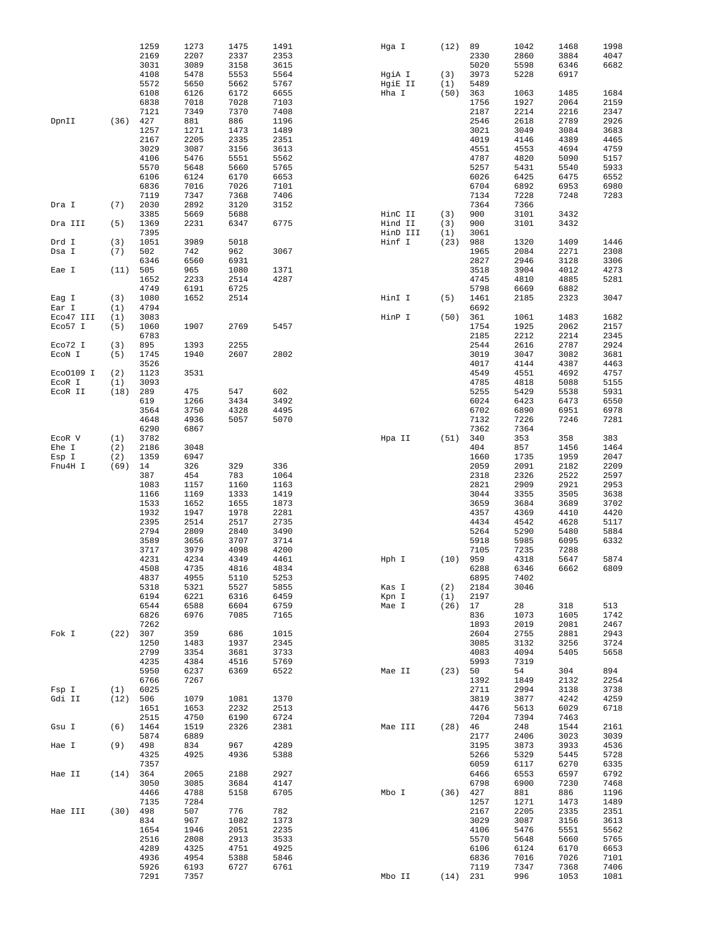|           |      | 1259         | 1273         | 1475         | 1491         | Hga I              | (12)             | 89           | 1042         | 1468         | 1998         |
|-----------|------|--------------|--------------|--------------|--------------|--------------------|------------------|--------------|--------------|--------------|--------------|
|           |      | 2169<br>3031 | 2207<br>3089 | 2337<br>3158 | 2353<br>3615 |                    |                  | 2330<br>5020 | 2860<br>5598 | 3884<br>6346 | 4047<br>6682 |
|           |      | 4108         | 5478         | 5553         | 5564         | HgiA I             | (3)              | 3973         | 5228         | 6917         |              |
|           |      | 5572         | 5650         | 5662         | 5767         | HgiE II            | (1)              | 5489         |              |              |              |
|           |      | 6108         | 6126         | 6172         | 6655         | Hha I              | (50)             | 363          | 1063         | 1485         | 1684         |
|           |      | 6838         | 7018         | 7028         | 7103         |                    |                  | 1756         | 1927         | 2064         | 2159         |
|           |      | 7121         | 7349         | 7370         | 7408         |                    |                  | 2187         | 2214         | 2216         | 2347         |
| DpnII     | (36) | 427          | 881          | 886          | 1196         |                    |                  | 2546         | 2618         | 2789         | 2926         |
|           |      | 1257         | 1271         | 1473         | 1489         |                    |                  | 3021         | 3049         | 3084         | 3683         |
|           |      | 2167<br>3029 | 2205         | 2335         | 2351         |                    |                  | 4019         | 4146         | 4389         | 4465         |
|           |      | 4106         | 3087<br>5476 | 3156<br>5551 | 3613<br>5562 |                    |                  | 4551<br>4787 | 4553<br>4820 | 4694<br>5090 | 4759<br>5157 |
|           |      | 5570         | 5648         | 5660         | 5765         |                    |                  | 5257         | 5431         | 5540         | 5933         |
|           |      | 6106         | 6124         | 6170         | 6653         |                    |                  | 6026         | 6425         | 6475         | 6552         |
|           |      | 6836         | 7016         | 7026         | 7101         |                    |                  | 6704         | 6892         | 6953         | 6980         |
|           |      | 7119         | 7347         | 7368         | 7406         |                    |                  | 7134         | 7228         | 7248         | 7283         |
| Dra I     | (7)  | 2030         | 2892         | 3120         | 3152         |                    |                  | 7364         | 7366         |              |              |
|           |      | 3385         | 5669         | 5688         |              | HinC II            | (3)              | 900          | 3101         | 3432         |              |
| Dra III   | (5)  | 1369         | 2231         | 6347         | 6775         | Hind II            | (3)              | 900          | 3101         | 3432         |              |
| Drd I     | (3)  | 7395<br>1051 | 3989         | 5018         |              | HinD III<br>Hinf I | (1)<br>(23)      | 3061<br>988  | 1320         | 1409         | 1446         |
| Dsa I     | (7)  | 502          | 742          | 962          | 3067         |                    |                  | 1965         | 2084         | 2271         | 2308         |
|           |      | 6346         | 6560         | 6931         |              |                    |                  | 2827         | 2946         | 3128         | 3306         |
| Eae I     | (11) | 505          | 965          | 1080         | 1371         |                    |                  | 3518         | 3904         | 4012         | 4273         |
|           |      | 1652         | 2233         | 2514         | 4287         |                    |                  | 4745         | 4810         | 4885         | 5281         |
|           |      | 4749         | 6191         | 6725         |              |                    |                  | 5798         | 6669         | 6882         |              |
| Eag I     | (3)  | 1080         | 1652         | 2514         |              | HinI I             | (5)              | 1461         | 2185         | 2323         | 3047         |
| Ear I     | (1)  | 4794         |              |              |              |                    |                  | 6692         |              |              |              |
| Eco47 III | (1)  | 3083         | 1907         | 2769         | 5457         | HinP I             | (50)             | 361<br>1754  | 1061         | 1483         | 1682         |
| Eco57 I   | (5)  | 1060<br>6783 |              |              |              |                    |                  | 2185         | 1925<br>2212 | 2062<br>2214 | 2157<br>2345 |
| Eco72 I   | (3)  | 895          | 1393         | 2255         |              |                    |                  | 2544         | 2616         | 2787         | 2924         |
| ECON I    | (5)  | 1745         | 1940         | 2607         | 2802         |                    |                  | 3019         | 3047         | 3082         | 3681         |
|           |      | 3526         |              |              |              |                    |                  | 4017         | 4144         | 4387         | 4463         |
| Eco0109 I | (2)  | 1123         | 3531         |              |              |                    |                  | 4549         | 4551         | 4692         | 4757         |
| ECOR I    | (1)  | 3093         |              |              |              |                    |                  | 4785         | 4818         | 5088         | 5155         |
| ECOR II   | (18) | 289          | 475          | 547          | 602          |                    |                  | 5255         | 5429         | 5538         | 5931         |
|           |      | 619          | 1266         | 3434         | 3492         |                    |                  | 6024         | 6423         | 6473         | 6550         |
|           |      | 3564         | 3750         | 4328         | 4495         |                    |                  | 6702         | 6890         | 6951         | 6978<br>7281 |
|           |      | 4648<br>6290 | 4936<br>6867 | 5057         | 5070         |                    |                  | 7132<br>7362 | 7226<br>7364 | 7246         |              |
| ECOR V    | (1)  | 3782         |              |              |              | Hpa II             | (51)             | 340          | 353          | 358          | 383          |
| Ehe I     | (2)  | 2186         | 3048         |              |              |                    |                  | 404          | 857          | 1456         | 1464         |
| Esp I     | (2)  | 1359         | 6947         |              |              |                    |                  | 1660         | 1735         | 1959         | 2047         |
| Fnu4H I   | (69) | 14           | 326          | 329          | 336          |                    |                  | 2059         | 2091         | 2182         | 2209         |
|           |      | 387          | 454          | 783          | 1064         |                    |                  | 2318         | 2326         | 2522         | 2597         |
|           |      | 1083         | 1157         | 1160         | 1163         |                    |                  | 2821         | 2909         | 2921         | 2953         |
|           |      | 1166         | 1169         | 1333         | 1419         |                    |                  | 3044         | 3355         | 3505         | 3638         |
|           |      | 1533<br>1932 | 1652<br>1947 | 1655<br>1978 | 1873<br>2281 |                    |                  | 3659<br>4357 | 3684<br>4369 | 3689<br>4410 | 3702<br>4420 |
|           |      | 2395         | 2514         | 2517         | 2735         |                    |                  | 4434         | 4542         | 4628         | 5117         |
|           |      | 2794         | 2809         | 2840         | 3490         |                    |                  | 5264         | 5290         | 5480         | 5884         |
|           |      | 3589         | 3656         | 3707         | 3714         |                    |                  | 5918         | 5985         | 6095         | 6332         |
|           |      | 3717         | 3979         | 4098         | 4200         |                    |                  | 7105         | 7235         | 7288         |              |
|           |      | 4231         | 4234         | 4349         | 4461         | Hph I              | (10)             | 959          | 4318         | 5647         | 5874         |
|           |      | 4508         | 4735         | 4816         | 4834         |                    |                  | 6288         | 6346         | 6662         | 6809         |
|           |      | 4837         | 4955         | 5110         | 5253         |                    |                  | 6895         | 7402         |              |              |
|           |      | 5318<br>6194 | 5321<br>6221 | 5527<br>6316 | 5855<br>6459 | Kas I              | (2)              | 2184<br>2197 | 3046         |              |              |
|           |      | 6544         | 6588         | 6604         | 6759         | Kpn I<br>Mae I     | (1)<br>$(26)$ 17 |              | 28           | 318          | 513          |
|           |      | 6826         | 6976         | 7085         | 7165         |                    |                  |              |              |              | 1742         |
|           |      | 7262         |              |              |              |                    |                  |              |              |              |              |
| Fok I     | (22) |              |              |              |              |                    |                  | 836<br>1893  | 1073<br>2019 | 1605<br>2081 | 2467         |
|           |      | 307          | 359          | 686          | 1015         |                    |                  | 2604         | 2755         | 2881         | 2943         |
|           |      | 1250         | 1483         | 1937         | 2345         |                    |                  | 3085         | 3132         | 3256         | 3724         |
|           |      | 2799         | 3354         | 3681         | 3733         |                    |                  | 4083         | 4094         | 5405         | 5658         |
|           |      | 4235         | 4384         | 4516         | 5769         |                    |                  | 5993         | 7319         |              |              |
|           |      | 5950         | 6237         | 6369         | 6522         | Mae II             | (23)             | 50           | 54           | 304          | 894          |
|           |      | 6766         | 7267         |              |              |                    |                  | 1392         | 1849         | 2132         | 2254         |
| Fsp I     | (1)  | 6025         |              |              |              |                    |                  | 2711         | 2994         | 3138         | 3738         |
| Gdi II    | (12) | 506<br>1651  | 1079<br>1653 | 1081<br>2232 | 1370<br>2513 |                    |                  | 3819<br>4476 | 3877<br>5613 | 4242<br>6029 | 4259<br>6718 |
|           |      | 2515         | 4750         | 6190         | 6724         |                    |                  | 7204         | 7394         | 7463         |              |
| Gsu I     | (6)  | 1464         | 1519         | 2326         | 2381         | Mae III            | (28)             | 46           | 248          | 1544         | 2161         |
|           |      | 5874         | 6889         |              |              |                    |                  | 2177         | 2406         | 3023         | 3039         |
| Hae I     | (9)  | 498          | 834          | 967          | 4289         |                    |                  | 3195         | 3873         | 3933         | 4536         |
|           |      | 4325         | 4925         | 4936         | 5388         |                    |                  | 5266         | 5329         | 5445         | 5728         |
|           |      | 7357         |              |              |              |                    |                  | 6059         | 6117         | 6270         | 6335         |
| Hae II    | (14) | 364          | 2065         | 2188         | 2927         |                    |                  | 6466         | 6553         | 6597         | 6792         |
|           |      | 3050<br>4466 | 3085<br>4788 | 3684<br>5158 | 4147<br>6705 | Mbo I              | $(36)$ 427       | 6798         | 6900<br>881  | 7230<br>886  | 7468<br>1196 |
|           |      | 7135         | 7284         |              |              |                    |                  | 1257         | 1271         | 1473         | 1489         |
| Hae III   | (30) | 498          | 507          | 776          | 782          |                    |                  | 2167         | 2205         | 2335         | 2351         |
|           |      | 834          | 967          | 1082         | 1373         |                    |                  | 3029         | 3087         | 3156         | 3613         |
|           |      | 1654         | 1946         | 2051         | 2235         |                    |                  | 4106         | 5476         | 5551         | 5562         |
|           |      | 2516         | 2808         | 2913         | 3533         |                    |                  | 5570         | 5648         | 5660         | 5765         |
|           |      | 4289         | 4325         | 4751         | 4925         |                    |                  | 6106         | 6124         | 6170         | 6653         |
|           |      | 4936<br>5926 | 4954<br>6193 | 5388<br>6727 | 5846<br>6761 |                    |                  | 6836<br>7119 | 7016<br>7347 | 7026<br>7368 | 7101<br>7406 |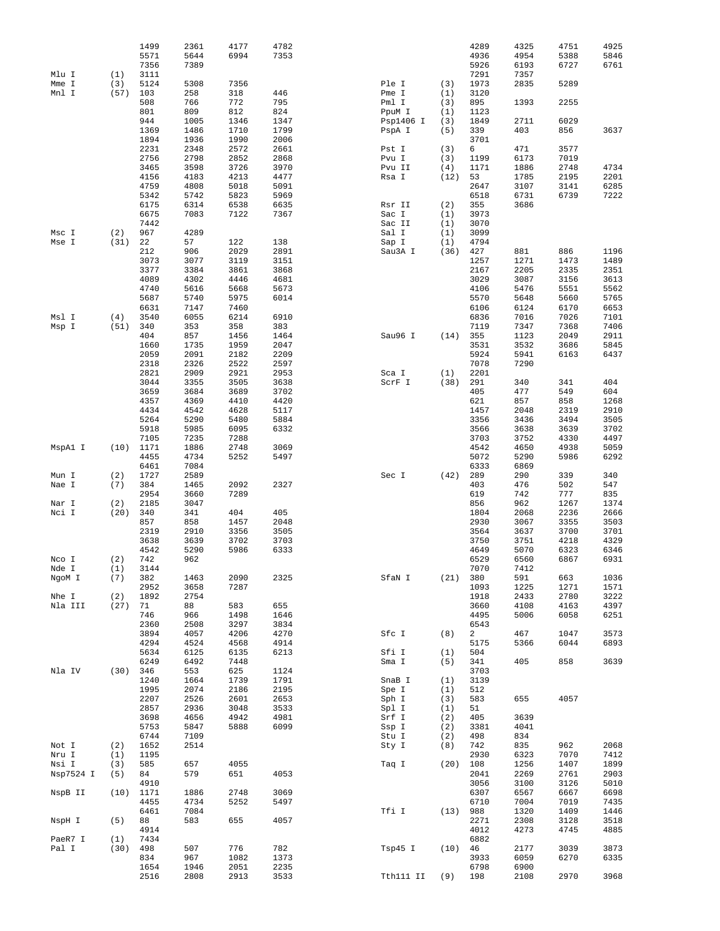| Mlu I              | (1)         | 1499<br>5571<br>7356<br>3111 | 2361<br>5644<br>7389 | 4177<br>6994         | 4782<br>7353         |                     |             | 4289<br>4936<br>5926<br>7291 | 4325<br>4954<br>6193<br>7357 | 4751<br>5388<br>6727 | 4925<br>5846<br>6761 |
|--------------------|-------------|------------------------------|----------------------|----------------------|----------------------|---------------------|-------------|------------------------------|------------------------------|----------------------|----------------------|
| Mme I<br>Mnl I     | (3)<br>(57) | 5124<br>103                  | 5308<br>258          | 7356<br>318          | 446                  | Ple I<br>Pme I      | (3)<br>(1)  | 1973<br>3120                 | 2835                         | 5289                 |                      |
|                    |             | 508<br>801                   | 766<br>809           | 772<br>812           | 795<br>824           | Pml I<br>PpuM I     | (3)<br>(1)  | 895<br>1123                  | 1393                         | 2255                 |                      |
|                    |             | 944<br>1369<br>1894          | 1005<br>1486<br>1936 | 1346<br>1710<br>1990 | 1347<br>1799<br>2006 | Psp1406 I<br>PspA I | (3)<br>(5)  | 1849<br>339<br>3701          | 2711<br>403                  | 6029<br>856          | 3637                 |
|                    |             | 2231                         | 2348                 | 2572                 | 2661                 | Pst I               | (3)         | 6                            | 471                          | 3577                 |                      |
|                    |             | 2756<br>3465                 | 2798<br>3598         | 2852<br>3726         | 2868<br>3970         | Pvu I<br>Pvu II     | (3)<br>(4)  | 1199<br>1171                 | 6173<br>1886                 | 7019<br>2748         | 4734                 |
|                    |             | 4156                         | 4183                 | 4213                 | 4477                 | Rsa I               | (12)        | 53                           | 1785                         | 2195                 | 2201                 |
|                    |             | 4759                         | 4808                 | 5018                 | 5091                 |                     |             | 2647                         | 3107                         | 3141                 | 6285                 |
|                    |             | 5342<br>6175                 | 5742<br>6314         | 5823<br>6538         | 5969<br>6635         | Rsr II              | (2)         | 6518<br>355                  | 6731<br>3686                 | 6739                 | 7222                 |
|                    |             | 6675<br>7442                 | 7083                 | 7122                 | 7367                 | Sac I<br>Sac II     | (1)<br>(1)  | 3973<br>3070                 |                              |                      |                      |
| Msc I              | (2)         | 967                          | 4289                 |                      |                      | Sal I               | (1)         | 3099                         |                              |                      |                      |
| Mse I              | (31)        | 22<br>212                    | 57<br>906            | 122<br>2029          | 138<br>2891          | Sap I<br>Sau3A I    | (1)<br>(36) | 4794<br>427                  | 881                          | 886                  | 1196                 |
|                    |             | 3073                         | 3077                 | 3119                 | 3151                 |                     |             | 1257                         | 1271                         | 1473                 | 1489                 |
|                    |             | 3377<br>4089                 | 3384                 | 3861<br>4446         | 3868<br>4681         |                     |             | 2167<br>3029                 | 2205<br>3087                 | 2335                 | 2351                 |
|                    |             | 4740                         | 4302<br>5616         | 5668                 | 5673                 |                     |             | 4106                         | 5476                         | 3156<br>5551         | 3613<br>5562         |
|                    |             | 5687                         | 5740                 | 5975                 | 6014                 |                     |             | 5570                         | 5648                         | 5660                 | 5765                 |
| Msl I              | (4)         | 6631<br>3540                 | 7147<br>6055         | 7460<br>6214         | 6910                 |                     |             | 6106<br>6836                 | 6124<br>7016                 | 6170<br>7026         | 6653<br>7101         |
| Msp I              | (51)        | 340                          | 353                  | 358                  | 383                  |                     |             | 7119                         | 7347                         | 7368                 | 7406                 |
|                    |             | 404                          | 857                  | 1456                 | 1464                 | Sau96 I             | (14)        | 355                          | 1123                         | 2049                 | 2911                 |
|                    |             | 1660<br>2059                 | 1735<br>2091         | 1959<br>2182         | 2047<br>2209         |                     |             | 3531<br>5924                 | 3532<br>5941                 | 3686<br>6163         | 5845<br>6437         |
|                    |             | 2318                         | 2326                 | 2522                 | 2597                 |                     |             | 7078                         | 7290                         |                      |                      |
|                    |             | 2821<br>3044                 | 2909<br>3355         | 2921<br>3505         | 2953<br>3638         | Sca I<br>ScrF I     | (1)<br>(38) | 2201<br>291                  | 340                          | 341                  | 404                  |
|                    |             | 3659                         | 3684                 | 3689                 | 3702                 |                     |             | 405                          | 477                          | 549                  | 604                  |
|                    |             | 4357                         | 4369                 | 4410                 | 4420                 |                     |             | 621                          | 857                          | 858                  | 1268                 |
|                    |             | 4434<br>5264                 | 4542<br>5290         | 4628<br>5480         | 5117<br>5884         |                     |             | 1457<br>3356                 | 2048<br>3436                 | 2319<br>3494         | 2910<br>3505         |
|                    |             | 5918                         | 5985                 | 6095                 | 6332                 |                     |             | 3566                         | 3638                         | 3639                 | 3702                 |
| MspAl I            | (10)        | 7105<br>1171                 | 7235<br>1886         | 7288<br>2748         | 3069                 |                     |             | 3703<br>4542                 | 3752<br>4650                 | 4330<br>4938         | 4497<br>5059         |
|                    |             | 4455                         | 4734                 | 5252                 | 5497                 |                     |             | 5072                         | 5290                         | 5986                 | 6292                 |
|                    |             | 6461                         | 7084                 |                      |                      |                     |             | 6333                         | 6869                         |                      |                      |
| Mun I<br>Nae I     | (2)<br>(7)  | 1727<br>384                  | 2589<br>1465         | 2092                 | 2327                 | Sec I               | (42)        | 289<br>403                   | 290<br>476                   | 339<br>502           | 340<br>547           |
|                    |             | 2954                         | 3660                 | 7289                 |                      |                     |             | 619                          | 742                          | 777                  | 835                  |
| Nar I<br>Nci I     | (2)<br>(20) | 2185<br>340                  | 3047<br>341          | 404                  | 405                  |                     |             | 856<br>1804                  | 962<br>2068                  | 1267<br>2236         | 1374<br>2666         |
|                    |             | 857                          | 858                  | 1457                 | 2048                 |                     |             | 2930                         | 3067                         | 3355                 | 3503                 |
|                    |             | 2319                         | 2910                 | 3356                 | 3505                 |                     |             | 3564                         | 3637                         | 3700                 | 3701                 |
|                    |             | 3638<br>4542                 | 3639<br>5290         | 3702<br>5986         | 3703<br>6333         |                     |             | 3750<br>4649                 | 3751<br>5070                 | 4218<br>6323         | 4329<br>6346         |
| Nco I              | (2)         | 742                          | 962                  |                      |                      |                     |             | 6529                         | 6560                         | 6867                 | 6931                 |
| Nde I<br>NgoM I    | (1)<br>(7)  | 3144<br>382                  | 1463                 | 2090                 | 2325                 | SfaN I              | (21)        | 7070<br>380                  | 7412<br>591                  | 663                  | 1036                 |
|                    |             | 2952                         | 3658                 | 7287                 |                      |                     |             | 1093                         | 1225                         | 1271                 | 1571                 |
| Nhe I              | (2)<br>(27) | 1892<br>71                   | 2754<br>88           | 583                  | 655                  |                     |             | 1918<br>3660                 | 2433<br>4108                 | 2780<br>4163         | 3222<br>4397         |
| Nla III            |             | 746                          | 966                  | 1498                 | 1646                 |                     |             | 4495                         | 5006                         | 6058                 | 6251                 |
|                    |             | 2360                         | 2508                 | 3297                 | 3834                 |                     |             | 6543                         |                              |                      |                      |
|                    |             | 3894<br>4294                 | 4057<br>4524         | 4206<br>4568         | 4270<br>4914         | Sfc I               | (8)         | $\overline{a}$<br>5175       | 467<br>5366                  | 1047<br>6044         | 3573<br>6893         |
|                    |             | 5634                         | 6125                 | 6135                 | 6213                 | Sfi I               | (1)         | 504                          |                              |                      |                      |
| Nla IV             | (30)        | 6249<br>346                  | 6492<br>553          | 7448<br>625          | 1124                 | Sma I               | (5)         | 341<br>3703                  | 405                          | 858                  | 3639                 |
|                    |             | 1240                         | 1664                 | 1739                 | 1791                 | SnaB I              | (1)         | 3139                         |                              |                      |                      |
|                    |             | 1995                         | 2074                 | 2186                 | 2195                 | Spe I               | (1)         | 512                          |                              |                      |                      |
|                    |             | 2207<br>2857                 | 2526<br>2936         | 2601<br>3048         | 2653<br>3533         | Sph I<br>Spl I      | (3)<br>(1)  | 583<br>51                    | 655                          | 4057                 |                      |
|                    |             | 3698                         | 4656                 | 4942                 | 4981                 | Srf I               | (2)         | 405                          | 3639                         |                      |                      |
|                    |             | 5753<br>6744                 | 5847<br>7109         | 5888                 | 6099                 | Ssp I<br>Stu I      | (2)<br>(2)  | 3381<br>498                  | 4041<br>834                  |                      |                      |
| Not I              | (2)         | 1652                         | 2514                 |                      |                      | Sty I               | (8)         | 742                          | 835                          | 962                  | 2068                 |
| Nru I              | (1)         | 1195                         |                      |                      |                      |                     |             | 2930                         | 6323                         | 7070                 | 7412                 |
| Nsi I<br>Nsp7524 I | (3)<br>(5)  | 585<br>84                    | 657<br>579           | 4055<br>651          | 4053                 | Taq I               | (20)        | 108<br>2041                  | 1256<br>2269                 | 1407<br>2761         | 1899<br>2903         |
|                    |             | 4910                         |                      |                      |                      |                     |             | 3056                         | 3100                         | 3126                 | 5010                 |
| NspB II            | (10)        | 1171<br>4455                 | 1886<br>4734         | 2748<br>5252         | 3069<br>5497         |                     |             | 6307<br>6710                 | 6567<br>7004                 | 6667<br>7019         | 6698<br>7435         |
|                    |             | 6461                         | 7084                 |                      |                      | Tfi I               | (13)        | 988                          | 1320                         | 1409                 | 1446                 |
| NspH I             | (5)         | 88                           | 583                  | 655                  | 4057                 |                     |             | 2271                         | 2308                         | 3128                 | 3518                 |
| PaeR7 I            | (1)         | 4914<br>7434                 |                      |                      |                      |                     |             | 4012<br>6882                 | 4273                         | 4745                 | 4885                 |
| Pal I              | (30)        | 498                          | 507                  | 776                  | 782                  | Tsp45 I             | (10)        | 46                           | 2177                         | 3039                 | 3873                 |
|                    |             | 834<br>1654                  | 967<br>1946          | 1082<br>2051         | 1373<br>2235         |                     |             | 3933<br>6798                 | 6059<br>6900                 | 6270                 | 6335                 |
|                    |             | 2516                         | 2808                 | 2913                 | 3533                 | Tth111 II           | (9)         | 198                          | 2108                         | 2970                 | 3968                 |